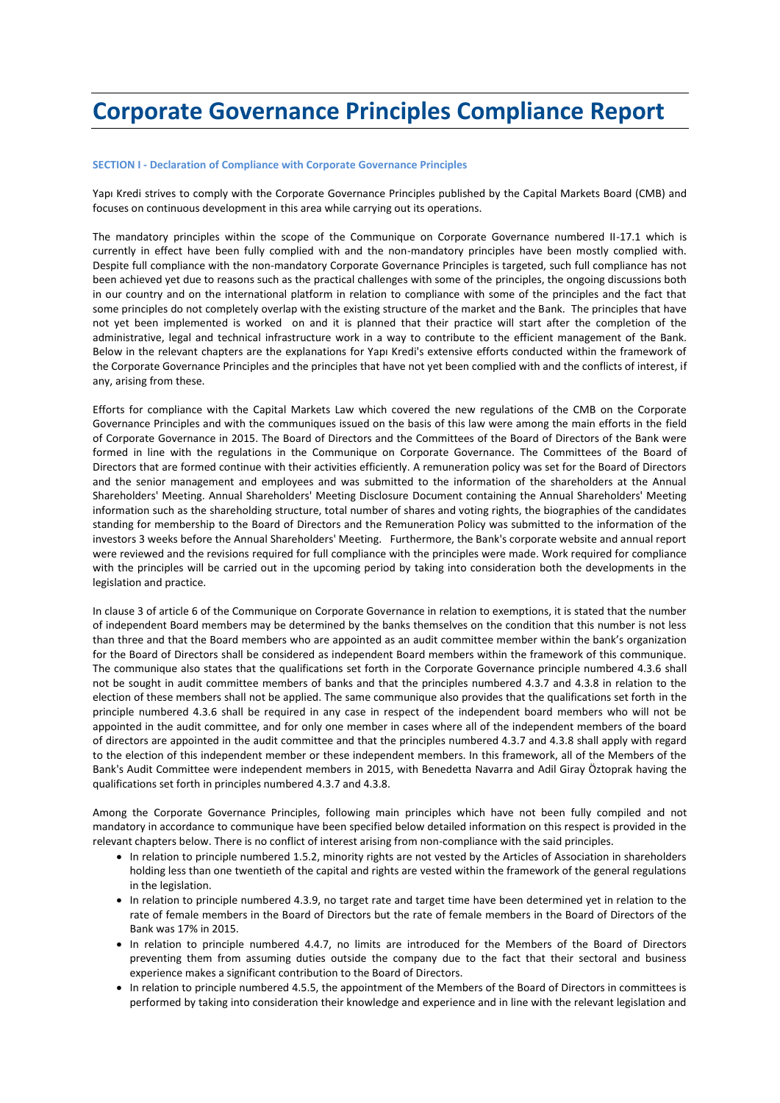# **Corporate Governance Principles Compliance Report**

## **SECTION I - Declaration of Compliance with Corporate Governance Principles**

Yapı Kredi strives to comply with the Corporate Governance Principles published by the Capital Markets Board (CMB) and focuses on continuous development in this area while carrying out its operations.

The mandatory principles within the scope of the Communique on Corporate Governance numbered II-17.1 which is currently in effect have been fully complied with and the non-mandatory principles have been mostly complied with. Despite full compliance with the non-mandatory Corporate Governance Principles is targeted, such full compliance has not been achieved yet due to reasons such as the practical challenges with some of the principles, the ongoing discussions both in our country and on the international platform in relation to compliance with some of the principles and the fact that some principles do not completely overlap with the existing structure of the market and the Bank. The principles that have not yet been implemented is worked on and it is planned that their practice will start after the completion of the administrative, legal and technical infrastructure work in a way to contribute to the efficient management of the Bank. Below in the relevant chapters are the explanations for Yapı Kredi's extensive efforts conducted within the framework of the Corporate Governance Principles and the principles that have not yet been complied with and the conflicts of interest, if any, arising from these.

Efforts for compliance with the Capital Markets Law which covered the new regulations of the CMB on the Corporate Governance Principles and with the communiques issued on the basis of this law were among the main efforts in the field of Corporate Governance in 2015. The Board of Directors and the Committees of the Board of Directors of the Bank were formed in line with the regulations in the Communique on Corporate Governance. The Committees of the Board of Directors that are formed continue with their activities efficiently. A remuneration policy was set for the Board of Directors and the senior management and employees and was submitted to the information of the shareholders at the Annual Shareholders' Meeting. Annual Shareholders' Meeting Disclosure Document containing the Annual Shareholders' Meeting information such as the shareholding structure, total number of shares and voting rights, the biographies of the candidates standing for membership to the Board of Directors and the Remuneration Policy was submitted to the information of the investors 3 weeks before the Annual Shareholders' Meeting. Furthermore, the Bank's corporate website and annual report were reviewed and the revisions required for full compliance with the principles were made. Work required for compliance with the principles will be carried out in the upcoming period by taking into consideration both the developments in the legislation and practice.

In clause 3 of article 6 of the Communique on Corporate Governance in relation to exemptions, it is stated that the number of independent Board members may be determined by the banks themselves on the condition that this number is not less than three and that the Board members who are appointed as an audit committee member within the bank's organization for the Board of Directors shall be considered as independent Board members within the framework of this communique. The communique also states that the qualifications set forth in the Corporate Governance principle numbered 4.3.6 shall not be sought in audit committee members of banks and that the principles numbered 4.3.7 and 4.3.8 in relation to the election of these members shall not be applied. The same communique also provides that the qualifications set forth in the principle numbered 4.3.6 shall be required in any case in respect of the independent board members who will not be appointed in the audit committee, and for only one member in cases where all of the independent members of the board of directors are appointed in the audit committee and that the principles numbered 4.3.7 and 4.3.8 shall apply with regard to the election of this independent member or these independent members. In this framework, all of the Members of the Bank's Audit Committee were independent members in 2015, with Benedetta Navarra and Adil Giray Öztoprak having the qualifications set forth in principles numbered 4.3.7 and 4.3.8.

Among the Corporate Governance Principles, following main principles which have not been fully compiled and not mandatory in accordance to communique have been specified below detailed information on this respect is provided in the relevant chapters below. There is no conflict of interest arising from non-compliance with the said principles.

- In relation to principle numbered 1.5.2, minority rights are not vested by the Articles of Association in shareholders holding less than one twentieth of the capital and rights are vested within the framework of the general regulations in the legislation.
- In relation to principle numbered 4.3.9, no target rate and target time have been determined yet in relation to the rate of female members in the Board of Directors but the rate of female members in the Board of Directors of the Bank was 17% in 2015.
- In relation to principle numbered 4.4.7, no limits are introduced for the Members of the Board of Directors preventing them from assuming duties outside the company due to the fact that their sectoral and business experience makes a significant contribution to the Board of Directors.
- In relation to principle numbered 4.5.5, the appointment of the Members of the Board of Directors in committees is performed by taking into consideration their knowledge and experience and in line with the relevant legislation and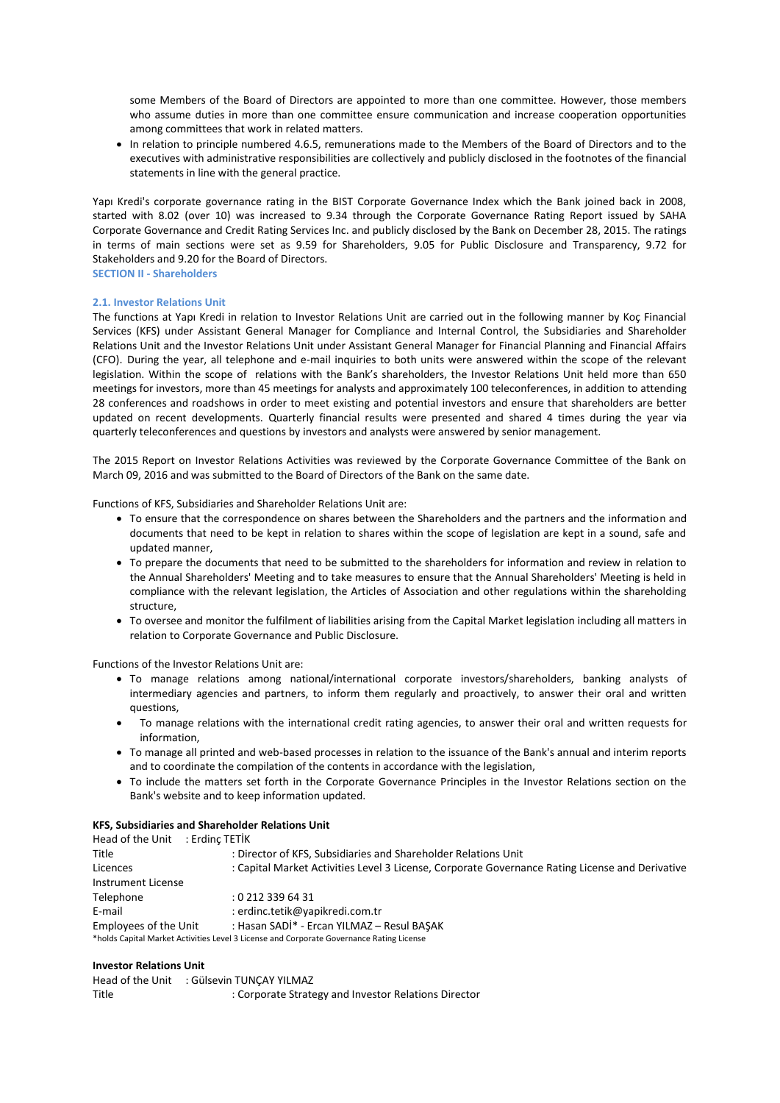some Members of the Board of Directors are appointed to more than one committee. However, those members who assume duties in more than one committee ensure communication and increase cooperation opportunities among committees that work in related matters.

 In relation to principle numbered 4.6.5, remunerations made to the Members of the Board of Directors and to the executives with administrative responsibilities are collectively and publicly disclosed in the footnotes of the financial statements in line with the general practice.

Yapı Kredi's corporate governance rating in the BIST Corporate Governance Index which the Bank joined back in 2008, started with 8.02 (over 10) was increased to 9.34 through the Corporate Governance Rating Report issued by SAHA Corporate Governance and Credit Rating Services Inc. and publicly disclosed by the Bank on December 28, 2015. The ratings in terms of main sections were set as 9.59 for Shareholders, 9.05 for Public Disclosure and Transparency, 9.72 for Stakeholders and 9.20 for the Board of Directors. **SECTION II - Shareholders** 

## **2.1. Investor Relations Unit**

The functions at Yapı Kredi in relation to Investor Relations Unit are carried out in the following manner by Koç Financial Services (KFS) under Assistant General Manager for Compliance and Internal Control, the Subsidiaries and Shareholder Relations Unit and the Investor Relations Unit under Assistant General Manager for Financial Planning and Financial Affairs (CFO). During the year, all telephone and e-mail inquiries to both units were answered within the scope of the relevant legislation. Within the scope of relations with the Bank's shareholders, the Investor Relations Unit held more than 650 meetings for investors, more than 45 meetings for analysts and approximately 100 teleconferences, in addition to attending 28 conferences and roadshows in order to meet existing and potential investors and ensure that shareholders are better updated on recent developments. Quarterly financial results were presented and shared 4 times during the year via quarterly teleconferences and questions by investors and analysts were answered by senior management.

The 2015 Report on Investor Relations Activities was reviewed by the Corporate Governance Committee of the Bank on March 09, 2016 and was submitted to the Board of Directors of the Bank on the same date.

Functions of KFS, Subsidiaries and Shareholder Relations Unit are:

- To ensure that the correspondence on shares between the Shareholders and the partners and the information and documents that need to be kept in relation to shares within the scope of legislation are kept in a sound, safe and updated manner,
- To prepare the documents that need to be submitted to the shareholders for information and review in relation to the Annual Shareholders' Meeting and to take measures to ensure that the Annual Shareholders' Meeting is held in compliance with the relevant legislation, the Articles of Association and other regulations within the shareholding structure,
- To oversee and monitor the fulfilment of liabilities arising from the Capital Market legislation including all matters in relation to Corporate Governance and Public Disclosure.

Functions of the Investor Relations Unit are:

- To manage relations among national/international corporate investors/shareholders, banking analysts of intermediary agencies and partners, to inform them regularly and proactively, to answer their oral and written questions,
- To manage relations with the international credit rating agencies, to answer their oral and written requests for information,
- To manage all printed and web-based processes in relation to the issuance of the Bank's annual and interim reports and to coordinate the compilation of the contents in accordance with the legislation,
- To include the matters set forth in the Corporate Governance Principles in the Investor Relations section on the Bank's website and to keep information updated.

#### **KFS, Subsidiaries and Shareholder Relations Unit**

| Head of the Unit : Erdinc TETIK                                                                             |                                                                                          |
|-------------------------------------------------------------------------------------------------------------|------------------------------------------------------------------------------------------|
| Title                                                                                                       | : Director of KFS, Subsidiaries and Shareholder Relations Unit                           |
| : Capital Market Activities Level 3 License, Corporate Governance Rating License and Derivative<br>Licences |                                                                                          |
| Instrument License                                                                                          |                                                                                          |
| Telephone                                                                                                   | : 0 212 339 64 31                                                                        |
| E-mail                                                                                                      | : erdinc.tetik@yapikredi.com.tr                                                          |
| Employees of the Unit                                                                                       | : Hasan SADİ* - Ercan YILMAZ - Resul BAŞAK                                               |
|                                                                                                             | *holds Capital Market Activities Level 3 License and Corporate Governance Rating License |

## **Investor Relations Unit**

Head of the Unit : Gülsevin TUNÇAY YILMAZ Title : Corporate Strategy and Investor Relations Director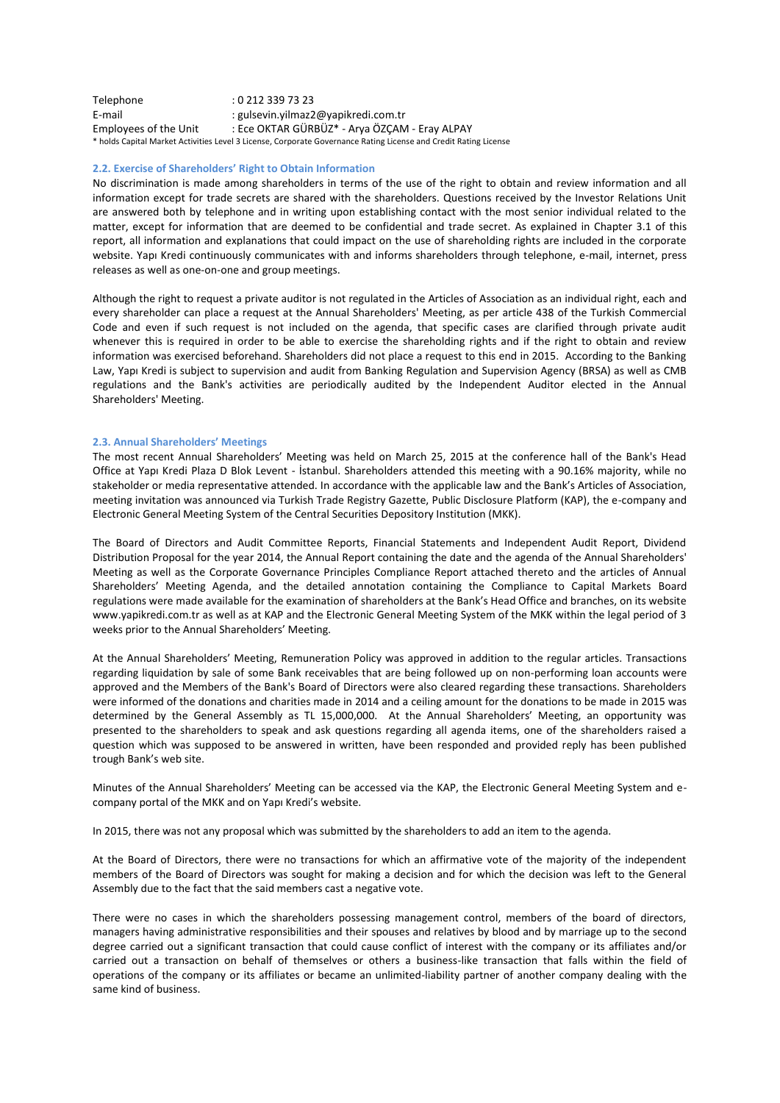| Telephone             | :02123397323                                                                                                     |
|-----------------------|------------------------------------------------------------------------------------------------------------------|
| E-mail                | : gulsevin.yilmaz2@yapikredi.com.tr                                                                              |
| Employees of the Unit | : Ece OKTAR GÜRBÜZ* - Arya ÖZÇAM - Eray ALPAY                                                                    |
|                       | * holds Capital Market Activities Level 3 License, Corporate Governance Rating License and Credit Rating License |

## **2.2. Exercise of Shareholders' Right to Obtain Information**

No discrimination is made among shareholders in terms of the use of the right to obtain and review information and all information except for trade secrets are shared with the shareholders. Questions received by the Investor Relations Unit are answered both by telephone and in writing upon establishing contact with the most senior individual related to the matter, except for information that are deemed to be confidential and trade secret. As explained in Chapter 3.1 of this report, all information and explanations that could impact on the use of shareholding rights are included in the corporate website. Yapı Kredi continuously communicates with and informs shareholders through telephone, e-mail, internet, press releases as well as one-on-one and group meetings.

Although the right to request a private auditor is not regulated in the Articles of Association as an individual right, each and every shareholder can place a request at the Annual Shareholders' Meeting, as per article 438 of the Turkish Commercial Code and even if such request is not included on the agenda, that specific cases are clarified through private audit whenever this is required in order to be able to exercise the shareholding rights and if the right to obtain and review information was exercised beforehand. Shareholders did not place a request to this end in 2015. According to the Banking Law, Yapı Kredi is subject to supervision and audit from Banking Regulation and Supervision Agency (BRSA) as well as CMB regulations and the Bank's activities are periodically audited by the Independent Auditor elected in the Annual Shareholders' Meeting.

#### **2.3. Annual Shareholders' Meetings**

The most recent Annual Shareholders' Meeting was held on March 25, 2015 at the conference hall of the Bank's Head Office at Yapı Kredi Plaza D Blok Levent - İstanbul. Shareholders attended this meeting with a 90.16% majority, while no stakeholder or media representative attended. In accordance with the applicable law and the Bank's Articles of Association, meeting invitation was announced via Turkish Trade Registry Gazette, Public Disclosure Platform (KAP), the e-company and Electronic General Meeting System of the Central Securities Depository Institution (MKK).

The Board of Directors and Audit Committee Reports, Financial Statements and Independent Audit Report, Dividend Distribution Proposal for the year 2014, the Annual Report containing the date and the agenda of the Annual Shareholders' Meeting as well as the Corporate Governance Principles Compliance Report attached thereto and the articles of Annual Shareholders' Meeting Agenda, and the detailed annotation containing the Compliance to Capital Markets Board regulations were made available for the examination of shareholders at the Bank's Head Office and branches, on its website www.yapikredi.com.tr as well as at KAP and the Electronic General Meeting System of the MKK within the legal period of 3 weeks prior to the Annual Shareholders' Meeting.

At the Annual Shareholders' Meeting, Remuneration Policy was approved in addition to the regular articles. Transactions regarding liquidation by sale of some Bank receivables that are being followed up on non-performing loan accounts were approved and the Members of the Bank's Board of Directors were also cleared regarding these transactions. Shareholders were informed of the donations and charities made in 2014 and a ceiling amount for the donations to be made in 2015 was determined by the General Assembly as TL 15,000,000. At the Annual Shareholders' Meeting, an opportunity was presented to the shareholders to speak and ask questions regarding all agenda items, one of the shareholders raised a question which was supposed to be answered in written, have been responded and provided reply has been published trough Bank's web site.

Minutes of the Annual Shareholders' Meeting can be accessed via the KAP, the Electronic General Meeting System and ecompany portal of the MKK and on Yapı Kredi's website.

In 2015, there was not any proposal which was submitted by the shareholders to add an item to the agenda.

At the Board of Directors, there were no transactions for which an affirmative vote of the majority of the independent members of the Board of Directors was sought for making a decision and for which the decision was left to the General Assembly due to the fact that the said members cast a negative vote.

There were no cases in which the shareholders possessing management control, members of the board of directors, managers having administrative responsibilities and their spouses and relatives by blood and by marriage up to the second degree carried out a significant transaction that could cause conflict of interest with the company or its affiliates and/or carried out a transaction on behalf of themselves or others a business-like transaction that falls within the field of operations of the company or its affiliates or became an unlimited-liability partner of another company dealing with the same kind of business.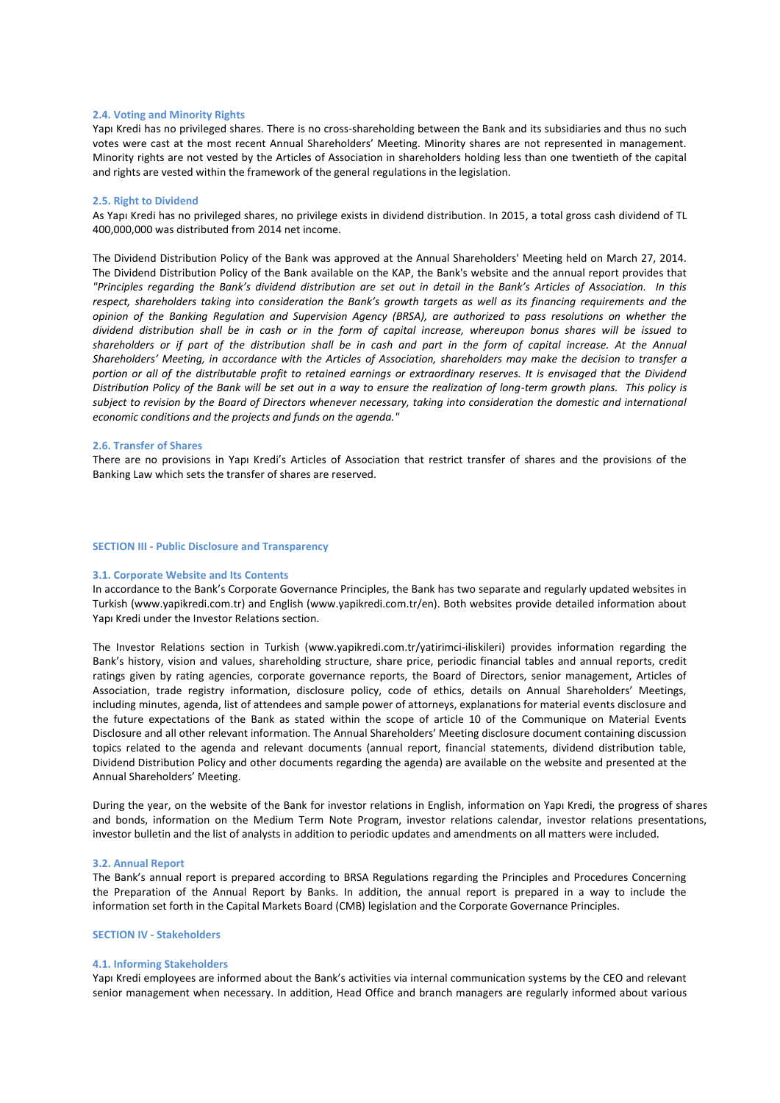#### **2.4. Voting and Minority Rights**

Yapı Kredi has no privileged shares. There is no cross-shareholding between the Bank and its subsidiaries and thus no such votes were cast at the most recent Annual Shareholders' Meeting. Minority shares are not represented in management. Minority rights are not vested by the Articles of Association in shareholders holding less than one twentieth of the capital and rights are vested within the framework of the general regulations in the legislation.

#### **2.5. Right to Dividend**

As Yapı Kredi has no privileged shares, no privilege exists in dividend distribution. In 2015, a total gross cash dividend of TL 400,000,000 was distributed from 2014 net income.

The Dividend Distribution Policy of the Bank was approved at the Annual Shareholders' Meeting held on March 27, 2014. The Dividend Distribution Policy of the Bank available on the KAP, the Bank's website and the annual report provides that *"Principles regarding the Bank's dividend distribution are set out in detail in the Bank's Articles of Association. In this respect, shareholders taking into consideration the Bank's growth targets as well as its financing requirements and the opinion of the Banking Regulation and Supervision Agency (BRSA), are authorized to pass resolutions on whether the dividend distribution shall be in cash or in the form of capital increase, whereupon bonus shares will be issued to shareholders or if part of the distribution shall be in cash and part in the form of capital increase. At the Annual Shareholders' Meeting, in accordance with the Articles of Association, shareholders may make the decision to transfer a portion or all of the distributable profit to retained earnings or extraordinary reserves. It is envisaged that the Dividend Distribution Policy of the Bank will be set out in a way to ensure the realization of long-term growth plans. This policy is subject to revision by the Board of Directors whenever necessary, taking into consideration the domestic and international economic conditions and the projects and funds on the agenda."*

#### **2.6. Transfer of Shares**

There are no provisions in Yapı Kredi's Articles of Association that restrict transfer of shares and the provisions of the Banking Law which sets the transfer of shares are reserved.

#### **SECTION III - Public Disclosure and Transparency**

#### **3.1. Corporate Website and Its Contents**

In accordance to the Bank's Corporate Governance Principles, the Bank has two separate and regularly updated websites in Turkish (www.yapikredi.com.tr) and English (www.yapikredi.com.tr/en). Both websites provide detailed information about Yapı Kredi under the Investor Relations section.

The Investor Relations section in Turkish (www.yapikredi.com.tr/yatirimci-iliskileri) provides information regarding the Bank's history, vision and values, shareholding structure, share price, periodic financial tables and annual reports, credit ratings given by rating agencies, corporate governance reports, the Board of Directors, senior management, Articles of Association, trade registry information, disclosure policy, code of ethics, details on Annual Shareholders' Meetings, including minutes, agenda, list of attendees and sample power of attorneys, explanations for material events disclosure and the future expectations of the Bank as stated within the scope of article 10 of the Communique on Material Events Disclosure and all other relevant information. The Annual Shareholders' Meeting disclosure document containing discussion topics related to the agenda and relevant documents (annual report, financial statements, dividend distribution table, Dividend Distribution Policy and other documents regarding the agenda) are available on the website and presented at the Annual Shareholders' Meeting.

During the year, on the website of the Bank for investor relations in English, information on Yapı Kredi, the progress of shares and bonds, information on the Medium Term Note Program, investor relations calendar, investor relations presentations, investor bulletin and the list of analysts in addition to periodic updates and amendments on all matters were included.

#### **3.2. Annual Report**

The Bank's annual report is prepared according to BRSA Regulations regarding the Principles and Procedures Concerning the Preparation of the Annual Report by Banks. In addition, the annual report is prepared in a way to include the information set forth in the Capital Markets Board (CMB) legislation and the Corporate Governance Principles.

#### **SECTION IV - Stakeholders**

#### **4.1. Informing Stakeholders**

Yapı Kredi employees are informed about the Bank's activities via internal communication systems by the CEO and relevant senior management when necessary. In addition, Head Office and branch managers are regularly informed about various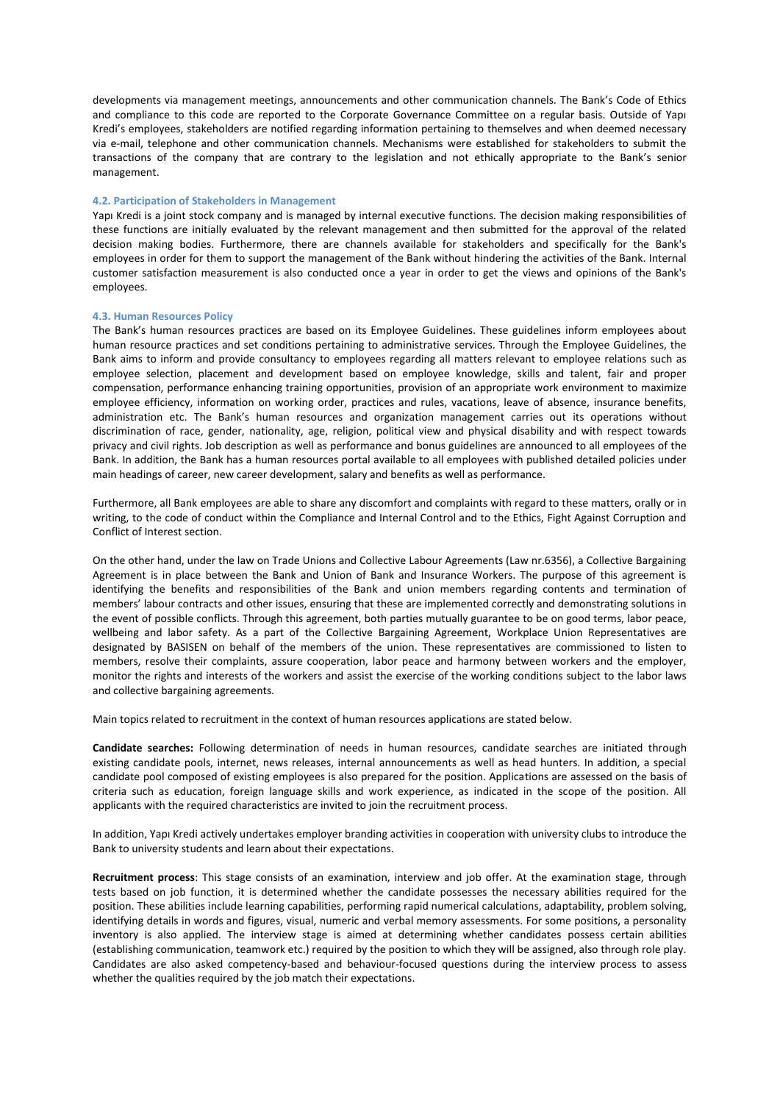developments via management meetings, announcements and other communication channels. The Bank's Code of Ethics and compliance to this code are reported to the Corporate Governance Committee on a regular basis. Outside of Yapı Kredi's employees, stakeholders are notified regarding information pertaining to themselves and when deemed necessary via e-mail, telephone and other communication channels. Mechanisms were established for stakeholders to submit the transactions of the company that are contrary to the legislation and not ethically appropriate to the Bank's senior management.

## **4.2. Participation of Stakeholders in Management**

Yapı Kredi is a joint stock company and is managed by internal executive functions. The decision making responsibilities of these functions are initially evaluated by the relevant management and then submitted for the approval of the related decision making bodies. Furthermore, there are channels available for stakeholders and specifically for the Bank's employees in order for them to support the management of the Bank without hindering the activities of the Bank. Internal customer satisfaction measurement is also conducted once a year in order to get the views and opinions of the Bank's employees.

#### **4.3. Human Resources Policy**

The Bank's human resources practices are based on its Employee Guidelines. These guidelines inform employees about human resource practices and set conditions pertaining to administrative services. Through the Employee Guidelines, the Bank aims to inform and provide consultancy to employees regarding all matters relevant to employee relations such as employee selection, placement and development based on employee knowledge, skills and talent, fair and proper compensation, performance enhancing training opportunities, provision of an appropriate work environment to maximize employee efficiency, information on working order, practices and rules, vacations, leave of absence, insurance benefits, administration etc. The Bank's human resources and organization management carries out its operations without discrimination of race, gender, nationality, age, religion, political view and physical disability and with respect towards privacy and civil rights. Job description as well as performance and bonus guidelines are announced to all employees of the Bank. In addition, the Bank has a human resources portal available to all employees with published detailed policies under main headings of career, new career development, salary and benefits as well as performance.

Furthermore, all Bank employees are able to share any discomfort and complaints with regard to these matters, orally or in writing, to the code of conduct within the Compliance and Internal Control and to the Ethics, Fight Against Corruption and Conflict of Interest section.

On the other hand, under the law on Trade Unions and Collective Labour Agreements (Law nr.6356), a Collective Bargaining Agreement is in place between the Bank and Union of Bank and Insurance Workers. The purpose of this agreement is identifying the benefits and responsibilities of the Bank and union members regarding contents and termination of members' labour contracts and other issues, ensuring that these are implemented correctly and demonstrating solutions in the event of possible conflicts. Through this agreement, both parties mutually guarantee to be on good terms, labor peace, wellbeing and labor safety. As a part of the Collective Bargaining Agreement, Workplace Union Representatives are designated by BASISEN on behalf of the members of the union. These representatives are commissioned to listen to members, resolve their complaints, assure cooperation, labor peace and harmony between workers and the employer, monitor the rights and interests of the workers and assist the exercise of the working conditions subject to the labor laws and collective bargaining agreements.

Main topics related to recruitment in the context of human resources applications are stated below.

**Candidate searches:** Following determination of needs in human resources, candidate searches are initiated through existing candidate pools, internet, news releases, internal announcements as well as head hunters. In addition, a special candidate pool composed of existing employees is also prepared for the position. Applications are assessed on the basis of criteria such as education, foreign language skills and work experience, as indicated in the scope of the position. All applicants with the required characteristics are invited to join the recruitment process.

In addition, Yapı Kredi actively undertakes employer branding activities in cooperation with university clubs to introduce the Bank to university students and learn about their expectations.

**Recruitment process**: This stage consists of an examination, interview and job offer. At the examination stage, through tests based on job function, it is determined whether the candidate possesses the necessary abilities required for the position. These abilities include learning capabilities, performing rapid numerical calculations, adaptability, problem solving, identifying details in words and figures, visual, numeric and verbal memory assessments. For some positions, a personality inventory is also applied. The interview stage is aimed at determining whether candidates possess certain abilities (establishing communication, teamwork etc.) required by the position to which they will be assigned, also through role play. Candidates are also asked competency-based and behaviour-focused questions during the interview process to assess whether the qualities required by the job match their expectations.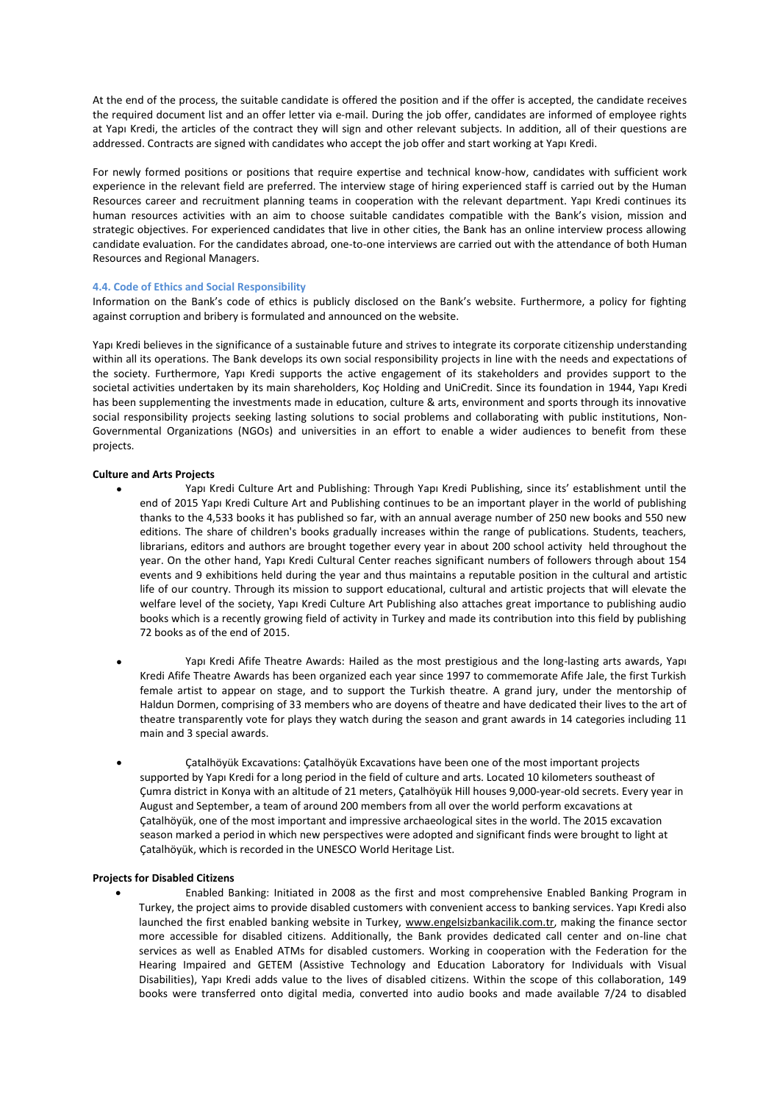At the end of the process, the suitable candidate is offered the position and if the offer is accepted, the candidate receives the required document list and an offer letter via e-mail. During the job offer, candidates are informed of employee rights at Yapı Kredi, the articles of the contract they will sign and other relevant subjects. In addition, all of their questions are addressed. Contracts are signed with candidates who accept the job offer and start working at Yapı Kredi.

For newly formed positions or positions that require expertise and technical know-how, candidates with sufficient work experience in the relevant field are preferred. The interview stage of hiring experienced staff is carried out by the Human Resources career and recruitment planning teams in cooperation with the relevant department. Yapı Kredi continues its human resources activities with an aim to choose suitable candidates compatible with the Bank's vision, mission and strategic objectives. For experienced candidates that live in other cities, the Bank has an online interview process allowing candidate evaluation. For the candidates abroad, one-to-one interviews are carried out with the attendance of both Human Resources and Regional Managers.

## **4.4. Code of Ethics and Social Responsibility**

Information on the Bank's code of ethics is publicly disclosed on the Bank's website. Furthermore, a policy for fighting against corruption and bribery is formulated and announced on the website.

Yapı Kredi believes in the significance of a sustainable future and strives to integrate its corporate citizenship understanding within all its operations. The Bank develops its own social responsibility projects in line with the needs and expectations of the society. Furthermore, Yapı Kredi supports the active engagement of its stakeholders and provides support to the societal activities undertaken by its main shareholders, Koç Holding and UniCredit. Since its foundation in 1944, Yapı Kredi has been supplementing the investments made in education, culture & arts, environment and sports through its innovative social responsibility projects seeking lasting solutions to social problems and collaborating with public institutions, Non-Governmental Organizations (NGOs) and universities in an effort to enable a wider audiences to benefit from these projects.

## **Culture and Arts Projects**

- Yapı Kredi Culture Art and Publishing: Through Yapı Kredi Publishing, since its' establishment until the end of 2015 Yapı Kredi Culture Art and Publishing continues to be an important player in the world of publishing thanks to the 4,533 books it has published so far, with an annual average number of 250 new books and 550 new editions. The share of children's books gradually increases within the range of publications. Students, teachers, librarians, editors and authors are brought together every year in about 200 school activity held throughout the year. On the other hand, Yapı Kredi Cultural Center reaches significant numbers of followers through about 154 events and 9 exhibitions held during the year and thus maintains a reputable position in the cultural and artistic life of our country. Through its mission to support educational, cultural and artistic projects that will elevate the welfare level of the society, Yapı Kredi Culture Art Publishing also attaches great importance to publishing audio books which is a recently growing field of activity in Turkey and made its contribution into this field by publishing 72 books as of the end of 2015.
- Yapı Kredi Afife Theatre Awards: Hailed as the most prestigious and the long-lasting arts awards, Yapı Kredi Afife Theatre Awards has been organized each year since 1997 to commemorate Afife Jale, the first Turkish female artist to appear on stage, and to support the Turkish theatre. A grand jury, under the mentorship of Haldun Dormen, comprising of 33 members who are doyens of theatre and have dedicated their lives to the art of theatre transparently vote for plays they watch during the season and grant awards in 14 categories including 11 main and 3 special awards.
- Çatalhöyük Excavations: Çatalhöyük Excavations have been one of the most important projects supported by Yapı Kredi for a long period in the field of culture and arts. Located 10 kilometers southeast of Çumra district in Konya with an altitude of 21 meters, Çatalhöyük Hill houses 9,000-year-old secrets. Every year in August and September, a team of around 200 members from all over the world perform excavations at Çatalhöyük, one of the most important and impressive archaeological sites in the world. The 2015 excavation season marked a period in which new perspectives were adopted and significant finds were brought to light at Çatalhöyük, which is recorded in the UNESCO World Heritage List.

#### **Projects for Disabled Citizens**

 Enabled Banking: Initiated in 2008 as the first and most comprehensive Enabled Banking Program in Turkey, the project aims to provide disabled customers with convenient access to banking services. Yapı Kredi also launched the first enabled banking website in Turkey, www.engelsizbankacilik.com.tr, making the finance sector more accessible for disabled citizens. Additionally, the Bank provides dedicated call center and on-line chat services as well as Enabled ATMs for disabled customers. Working in cooperation with the Federation for the Hearing Impaired and GETEM (Assistive Technology and Education Laboratory for Individuals with Visual Disabilities), Yapı Kredi adds value to the lives of disabled citizens. Within the scope of this collaboration, 149 books were transferred onto digital media, converted into audio books and made available 7/24 to disabled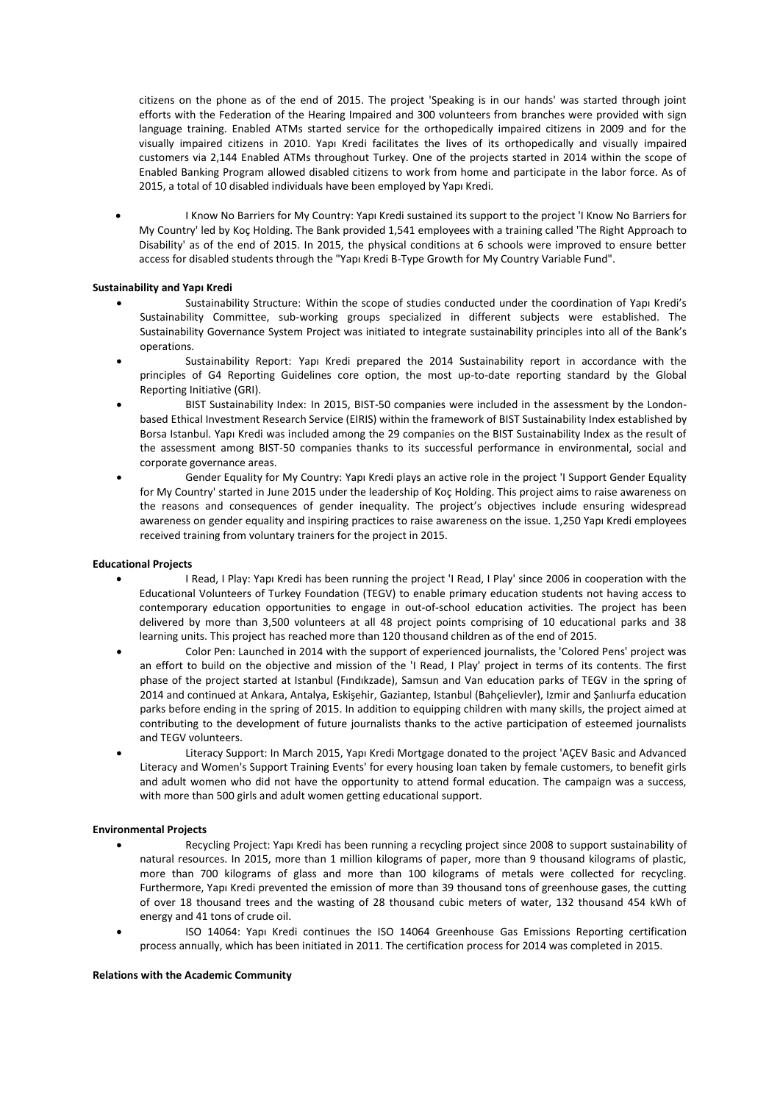citizens on the phone as of the end of 2015. The project 'Speaking is in our hands' was started through joint efforts with the Federation of the Hearing Impaired and 300 volunteers from branches were provided with sign language training. Enabled ATMs started service for the orthopedically impaired citizens in 2009 and for the visually impaired citizens in 2010. Yapı Kredi facilitates the lives of its orthopedically and visually impaired customers via 2,144 Enabled ATMs throughout Turkey. One of the projects started in 2014 within the scope of Enabled Banking Program allowed disabled citizens to work from home and participate in the labor force. As of 2015, a total of 10 disabled individuals have been employed by Yapı Kredi.

 I Know No Barriers for My Country: Yapı Kredi sustained its support to the project 'I Know No Barriers for My Country' led by Koç Holding. The Bank provided 1,541 employees with a training called 'The Right Approach to Disability' as of the end of 2015. In 2015, the physical conditions at 6 schools were improved to ensure better access for disabled students through the "Yapı Kredi B-Type Growth for My Country Variable Fund".

## **Sustainability and Yapı Kredi**

- Sustainability Structure: Within the scope of studies conducted under the coordination of Yapı Kredi's Sustainability Committee, sub-working groups specialized in different subjects were established. The Sustainability Governance System Project was initiated to integrate sustainability principles into all of the Bank's operations.
- Sustainability Report: Yapı Kredi prepared the 2014 Sustainability report in accordance with the principles of G4 Reporting Guidelines core option, the most up-to-date reporting standard by the Global Reporting Initiative (GRI).
- BIST Sustainability Index: In 2015, BIST-50 companies were included in the assessment by the Londonbased Ethical Investment Research Service (EIRIS) within the framework of BIST Sustainability Index established by Borsa Istanbul. Yapı Kredi was included among the 29 companies on the BIST Sustainability Index as the result of the assessment among BIST-50 companies thanks to its successful performance in environmental, social and corporate governance areas.
- Gender Equality for My Country: Yapı Kredi plays an active role in the project 'I Support Gender Equality for My Country' started in June 2015 under the leadership of Koç Holding. This project aims to raise awareness on the reasons and consequences of gender inequality. The project's objectives include ensuring widespread awareness on gender equality and inspiring practices to raise awareness on the issue. 1,250 Yapı Kredi employees received training from voluntary trainers for the project in 2015.

## **Educational Projects**

- I Read, I Play: Yapı Kredi has been running the project 'I Read, I Play' since 2006 in cooperation with the Educational Volunteers of Turkey Foundation (TEGV) to enable primary education students not having access to contemporary education opportunities to engage in out-of-school education activities. The project has been delivered by more than 3,500 volunteers at all 48 project points comprising of 10 educational parks and 38 learning units. This project has reached more than 120 thousand children as of the end of 2015.
- Color Pen: Launched in 2014 with the support of experienced journalists, the 'Colored Pens' project was an effort to build on the objective and mission of the 'I Read, I Play' project in terms of its contents. The first phase of the project started at Istanbul (Fındıkzade), Samsun and Van education parks of TEGV in the spring of 2014 and continued at Ankara, Antalya, Eskişehir, Gaziantep, Istanbul (Bahçelievler), Izmir and Şanlıurfa education parks before ending in the spring of 2015. In addition to equipping children with many skills, the project aimed at contributing to the development of future journalists thanks to the active participation of esteemed journalists and TEGV volunteers.
- Literacy Support: In March 2015, Yapı Kredi Mortgage donated to the project 'AÇEV Basic and Advanced Literacy and Women's Support Training Events' for every housing loan taken by female customers, to benefit girls and adult women who did not have the opportunity to attend formal education. The campaign was a success, with more than 500 girls and adult women getting educational support.

#### **Environmental Projects**

- Recycling Project: Yapı Kredi has been running a recycling project since 2008 to support sustainability of natural resources. In 2015, more than 1 million kilograms of paper, more than 9 thousand kilograms of plastic, more than 700 kilograms of glass and more than 100 kilograms of metals were collected for recycling. Furthermore, Yapı Kredi prevented the emission of more than 39 thousand tons of greenhouse gases, the cutting of over 18 thousand trees and the wasting of 28 thousand cubic meters of water, 132 thousand 454 kWh of energy and 41 tons of crude oil.
- ISO 14064: Yapı Kredi continues the ISO 14064 Greenhouse Gas Emissions Reporting certification process annually, which has been initiated in 2011. The certification process for 2014 was completed in 2015.

#### **Relations with the Academic Community**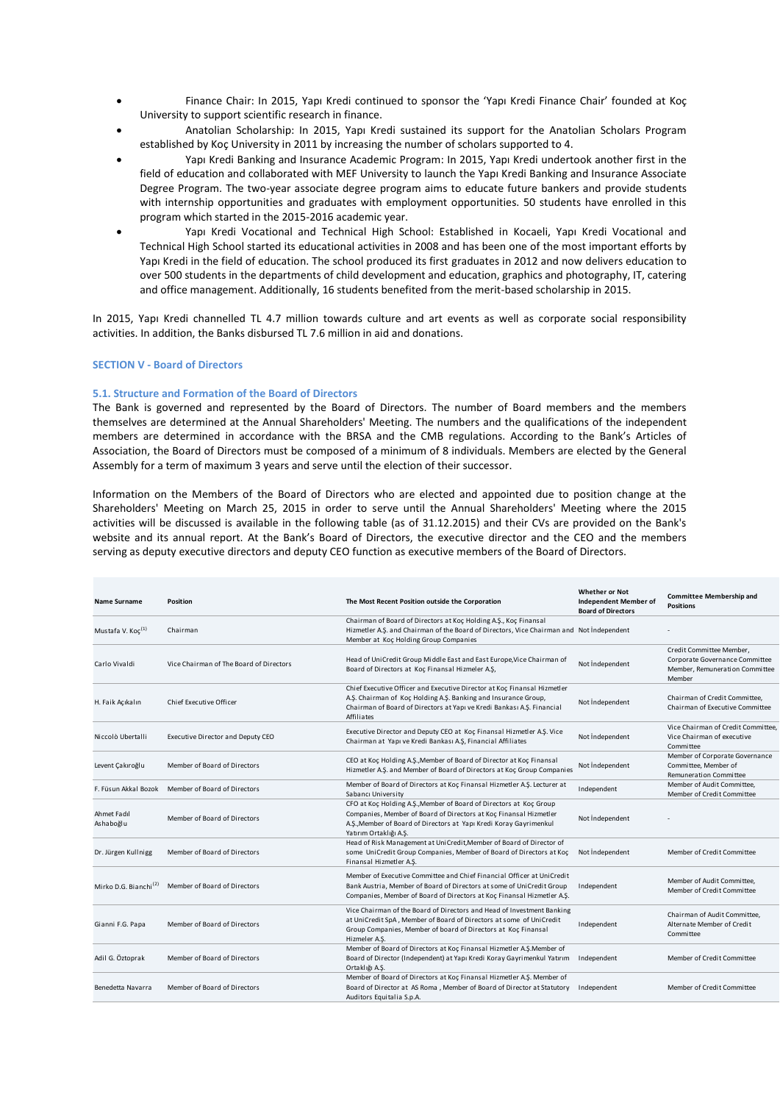- Finance Chair: In 2015, Yapı Kredi continued to sponsor the 'Yapı Kredi Finance Chair' founded at Koç University to support scientific research in finance.
- Anatolian Scholarship: In 2015, Yapı Kredi sustained its support for the Anatolian Scholars Program established by Koç University in 2011 by increasing the number of scholars supported to 4.
- Yapı Kredi Banking and Insurance Academic Program: In 2015, Yapı Kredi undertook another first in the field of education and collaborated with MEF University to launch the Yapı Kredi Banking and Insurance Associate Degree Program. The two-year associate degree program aims to educate future bankers and provide students with internship opportunities and graduates with employment opportunities. 50 students have enrolled in this program which started in the 2015-2016 academic year.
- Yapı Kredi Vocational and Technical High School: Established in Kocaeli, Yapı Kredi Vocational and Technical High School started its educational activities in 2008 and has been one of the most important efforts by Yapı Kredi in the field of education. The school produced its first graduates in 2012 and now delivers education to over 500 students in the departments of child development and education, graphics and photography, IT, catering and office management. Additionally, 16 students benefited from the merit-based scholarship in 2015.

In 2015, Yapı Kredi channelled TL 4.7 million towards culture and art events as well as corporate social responsibility activities. In addition, the Banks disbursed TL 7.6 million in aid and donations.

## **SECTION V - Board of Directors**

## **5.1. Structure and Formation of the Board of Directors**

The Bank is governed and represented by the Board of Directors. The number of Board members and the members themselves are determined at the Annual Shareholders' Meeting. The numbers and the qualifications of the independent members are determined in accordance with the BRSA and the CMB regulations. According to the Bank's Articles of Association, the Board of Directors must be composed of a minimum of 8 individuals. Members are elected by the General Assembly for a term of maximum 3 years and serve until the election of their successor.

Information on the Members of the Board of Directors who are elected and appointed due to position change at the Shareholders' Meeting on March 25, 2015 in order to serve until the Annual Shareholders' Meeting where the 2015 activities will be discussed is available in the following table (as of 31.12.2015) and their CVs are provided on the Bank's website and its annual report. At the Bank's Board of Directors, the executive director and the CEO and the members serving as deputy executive directors and deputy CEO function as executive members of the Board of Directors.

| Name Surname                      | <b>Position</b>                         | The Most Recent Position outside the Corporation                                                                                                                                                                                        | <b>Whether or Not</b><br><b>Independent Member of</b><br><b>Board of Directors</b> | <b>Committee Membership and</b><br><b>Positions</b>                                                    |
|-----------------------------------|-----------------------------------------|-----------------------------------------------------------------------------------------------------------------------------------------------------------------------------------------------------------------------------------------|------------------------------------------------------------------------------------|--------------------------------------------------------------------------------------------------------|
| Mustafa V. Koc <sup>(1)</sup>     | Chairman                                | Chairman of Board of Directors at Koç Holding A.Ş., Koç Finansal<br>Hizmetler A.Ş. and Chairman of the Board of Directors, Vice Chairman and Not Independent<br>Member at Koc Holding Group Companies                                   |                                                                                    |                                                                                                        |
| Carlo Vivaldi                     | Vice Chairman of The Board of Directors | Head of UniCredit Group Middle East and East Europe, Vice Chairman of<br>Board of Directors at Koc Finansal Hizmeler A.S.                                                                                                               | Not independent                                                                    | Credit Committee Member,<br>Corporate Governance Committee<br>Member, Remuneration Committee<br>Member |
| H. Faik Açıkalın                  | Chief Executive Officer                 | Chief Executive Officer and Executive Director at Koç Finansal Hizmetler<br>A.Ş. Chairman of Koç Holding A.Ş. Banking and Insurance Group,<br>Chairman of Board of Directors at Yapı ve Kredi Bankası A.Ş. Financial<br>Affiliates      | Not independent                                                                    | Chairman of Credit Committee,<br>Chairman of Executive Committee                                       |
| Niccolò Ubertalli                 | Executive Director and Deputy CEO       | Executive Director and Deputy CEO at Koç Finansal Hizmetler A.Ş. Vice<br>Chairman at Yapı ve Kredi Bankası A.Ş, Financial Affiliates                                                                                                    | Not independent                                                                    | Vice Chairman of Credit Committee,<br>Vice Chairman of executive<br>Committee                          |
| Levent Çakıroğlu                  | Member of Board of Directors            | CEO at Koç Holding A.Ş., Member of Board of Director at Koç Finansal<br>Hizmetler A.S. and Member of Board of Directors at Koc Group Companies                                                                                          | Not independent                                                                    | Member of Corporate Governance<br>Committee, Member of<br><b>Remuneration Committee</b>                |
| F. Füsun Akkal Bozok              | Member of Board of Directors            | Member of Board of Directors at Koç Finansal Hizmetler A.Ş. Lecturer at<br>Sabancı University                                                                                                                                           | Independent                                                                        | Member of Audit Committee,<br>Member of Credit Committee                                               |
| Ahmet Fadıl<br>Ashaboğlu          | Member of Board of Directors            | CFO at Koç Holding A.Ş., Member of Board of Directors at Koç Group<br>Companies, Member of Board of Directors at Koç Finansal Hizmetler<br>A.Ş., Member of Board of Directors at Yapı Kredi Koray Gayrimenkul<br>Yatırım Ortaklığı A.Ş. | Not independent                                                                    |                                                                                                        |
| Dr. Jürgen Kullnigg               | Member of Board of Directors            | Head of Risk Management at UniCredit, Member of Board of Director of<br>some UniCredit Group Companies, Member of Board of Directors at Koç<br>Finansal Hizmetler A.Ş.                                                                  | Not independent                                                                    | Member of Credit Committee                                                                             |
| Mirko D.G. Bianchi <sup>(2)</sup> | Member of Board of Directors            | Member of Executive Committee and Chief Financial Officer at UniCredit<br>Bank Austria, Member of Board of Directors at some of UniCredit Group<br>Companies, Member of Board of Directors at Koç Finansal Hizmetler A.Ş.               | Independent                                                                        | Member of Audit Committee,<br>Member of Credit Committee                                               |
| Gianni F.G. Papa                  | Member of Board of Directors            | Vice Chairman of the Board of Directors and Head of Investment Banking<br>at UniCredit SpA, Member of Board of Directors at some of UniCredit<br>Group Companies, Member of board of Directors at Koç Finansal<br>Hizmeler A.S.         | Independent                                                                        | Chairman of Audit Committee.<br>Alternate Member of Credit<br>Committee                                |
| Adil G. Öztoprak                  | Member of Board of Directors            | Member of Board of Directors at Koç Finansal Hizmetler A.Ş.Member of<br>Board of Director (Independent) at Yapı Kredi Koray Gayrimenkul Yatırım<br>Ortaklığı A.Ş.                                                                       | Independent                                                                        | Member of Credit Committee                                                                             |
| Benedetta Navarra                 | Member of Board of Directors            | Member of Board of Directors at Koç Finansal Hizmetler A.Ş. Member of<br>Board of Director at AS Roma, Member of Board of Director at Statutory<br>Auditors Equitalia S.p.A.                                                            | Independent                                                                        | Member of Credit Committee                                                                             |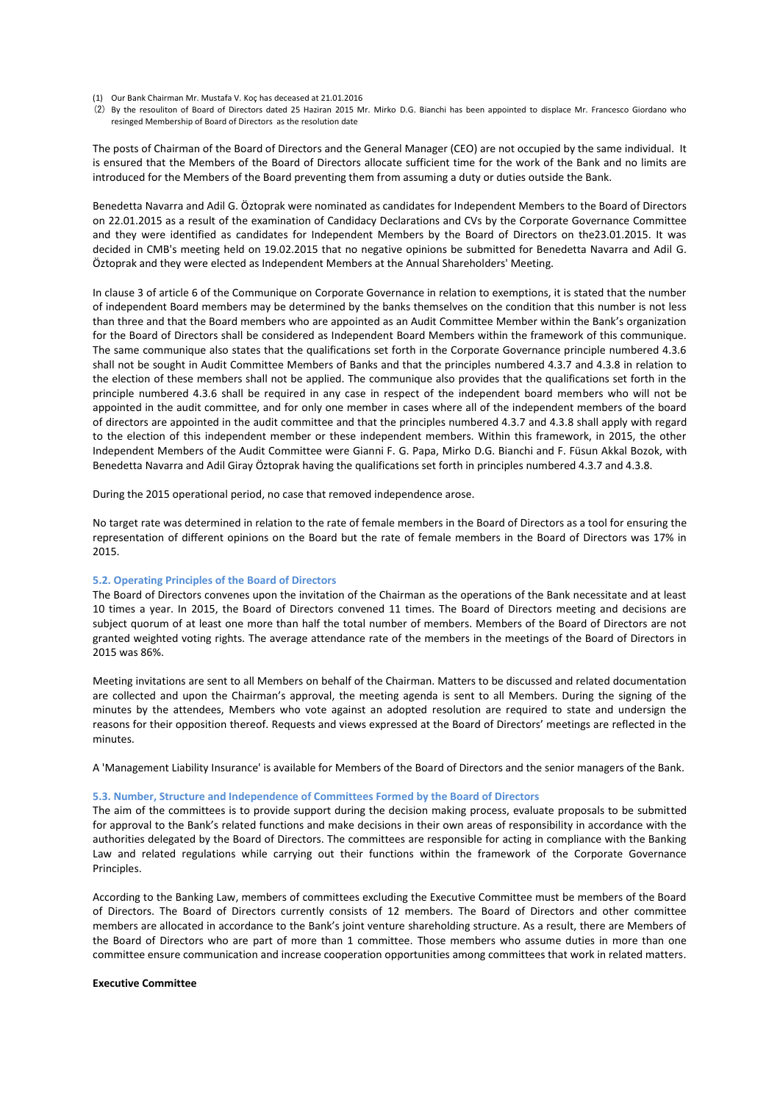- (1) Our Bank Chairman Mr. Mustafa V. Koç has deceased at 21.01.2016
- (2) By the resouliton of Board of Directors dated 25 Haziran 2015 Mr. Mirko D.G. Bianchi has been appointed to displace Mr. Francesco Giordano who resinged Membership of Board of Directors as the resolution date

The posts of Chairman of the Board of Directors and the General Manager (CEO) are not occupied by the same individual. It is ensured that the Members of the Board of Directors allocate sufficient time for the work of the Bank and no limits are introduced for the Members of the Board preventing them from assuming a duty or duties outside the Bank.

Benedetta Navarra and Adil G. Öztoprak were nominated as candidates for Independent Members to the Board of Directors on 22.01.2015 as a result of the examination of Candidacy Declarations and CVs by the Corporate Governance Committee and they were identified as candidates for Independent Members by the Board of Directors on the23.01.2015. It was decided in CMB's meeting held on 19.02.2015 that no negative opinions be submitted for Benedetta Navarra and Adil G. Öztoprak and they were elected as Independent Members at the Annual Shareholders' Meeting.

In clause 3 of article 6 of the Communique on Corporate Governance in relation to exemptions, it is stated that the number of independent Board members may be determined by the banks themselves on the condition that this number is not less than three and that the Board members who are appointed as an Audit Committee Member within the Bank's organization for the Board of Directors shall be considered as Independent Board Members within the framework of this communique. The same communique also states that the qualifications set forth in the Corporate Governance principle numbered 4.3.6 shall not be sought in Audit Committee Members of Banks and that the principles numbered 4.3.7 and 4.3.8 in relation to the election of these members shall not be applied. The communique also provides that the qualifications set forth in the principle numbered 4.3.6 shall be required in any case in respect of the independent board members who will not be appointed in the audit committee, and for only one member in cases where all of the independent members of the board of directors are appointed in the audit committee and that the principles numbered 4.3.7 and 4.3.8 shall apply with regard to the election of this independent member or these independent members. Within this framework, in 2015, the other Independent Members of the Audit Committee were Gianni F. G. Papa, Mirko D.G. Bianchi and F. Füsun Akkal Bozok, with Benedetta Navarra and Adil Giray Öztoprak having the qualifications set forth in principles numbered 4.3.7 and 4.3.8.

During the 2015 operational period, no case that removed independence arose.

No target rate was determined in relation to the rate of female members in the Board of Directors as a tool for ensuring the representation of different opinions on the Board but the rate of female members in the Board of Directors was 17% in 2015.

#### **5.2. Operating Principles of the Board of Directors**

The Board of Directors convenes upon the invitation of the Chairman as the operations of the Bank necessitate and at least 10 times a year. In 2015, the Board of Directors convened 11 times. The Board of Directors meeting and decisions are subject quorum of at least one more than half the total number of members. Members of the Board of Directors are not granted weighted voting rights. The average attendance rate of the members in the meetings of the Board of Directors in 2015 was 86%.

Meeting invitations are sent to all Members on behalf of the Chairman. Matters to be discussed and related documentation are collected and upon the Chairman's approval, the meeting agenda is sent to all Members. During the signing of the minutes by the attendees, Members who vote against an adopted resolution are required to state and undersign the reasons for their opposition thereof. Requests and views expressed at the Board of Directors' meetings are reflected in the minutes.

A 'Management Liability Insurance' is available for Members of the Board of Directors and the senior managers of the Bank.

#### **5.3. Number, Structure and Independence of Committees Formed by the Board of Directors**

The aim of the committees is to provide support during the decision making process, evaluate proposals to be submitted for approval to the Bank's related functions and make decisions in their own areas of responsibility in accordance with the authorities delegated by the Board of Directors. The committees are responsible for acting in compliance with the Banking Law and related regulations while carrying out their functions within the framework of the Corporate Governance Principles.

According to the Banking Law, members of committees excluding the Executive Committee must be members of the Board of Directors. The Board of Directors currently consists of 12 members. The Board of Directors and other committee members are allocated in accordance to the Bank's joint venture shareholding structure. As a result, there are Members of the Board of Directors who are part of more than 1 committee. Those members who assume duties in more than one committee ensure communication and increase cooperation opportunities among committees that work in related matters.

### **Executive Committee**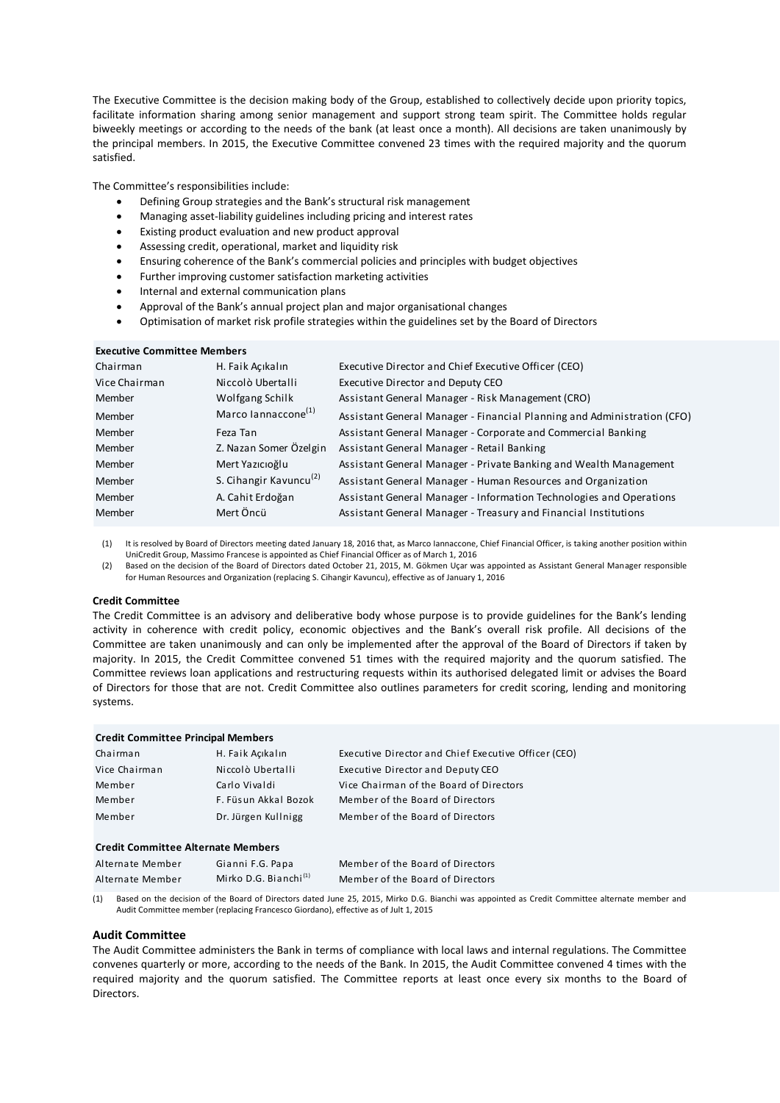The Executive Committee is the decision making body of the Group, established to collectively decide upon priority topics, facilitate information sharing among senior management and support strong team spirit. The Committee holds regular biweekly meetings or according to the needs of the bank (at least once a month). All decisions are taken unanimously by the principal members. In 2015, the Executive Committee convened 23 times with the required majority and the quorum satisfied.

The Committee's responsibilities include:

- Defining Group strategies and the Bank's structural risk management
- Managing asset-liability guidelines including pricing and interest rates
- Existing product evaluation and new product approval
- Assessing credit, operational, market and liquidity risk
- Ensuring coherence of the Bank's commercial policies and principles with budget objectives
- Further improving customer satisfaction marketing activities
- Internal and external communication plans
- Approval of the Bank's annual project plan and major organisational changes
- Optimisation of market risk profile strategies within the guidelines set by the Board of Directors

| <b>Executive Committee Members</b> |  |
|------------------------------------|--|
|                                    |  |

| Chairman      | H. Faik Acıkalın                   | Executive Director and Chief Executive Officer (CEO)                    |
|---------------|------------------------------------|-------------------------------------------------------------------------|
| Vice Chairman | Niccolò Ubertalli                  | Executive Director and Deputy CEO                                       |
| Member        | Wolfgang Schilk                    | Assistant General Manager - Risk Management (CRO)                       |
| Member        | Marco Jannaccone <sup>(1)</sup>    | Assistant General Manager - Financial Planning and Administration (CFO) |
| Member        | Feza Tan                           | Assistant General Manager - Corporate and Commercial Banking            |
| Member        | Z. Nazan Somer Özelgin             | Assistant General Manager - Retail Banking                              |
| Member        | Mert Yazıcıoğlu                    | Assistant General Manager - Private Banking and Wealth Management       |
| Member        | S. Cihangir Kavuncu <sup>(2)</sup> | Assistant General Manager - Human Resources and Organization            |
| Member        | A. Cahit Erdoğan                   | Assistant General Manager - Information Technologies and Operations     |
| Member        | Mert Öncü                          | Assistant General Manager - Treasury and Financial Institutions         |

(1) It is resolved by Board of Directors meeting dated January 18, 2016 that, as Marco Iannaccone, Chief Financial Officer, is taking another position within UniCredit Group, Massimo Francese is appointed as Chief Financial Officer as of March 1, 2016

Based on the decision of the Board of Directors dated October 21, 2015, M. Gökmen Uçar was appointed as Assistant General Manager responsible for Human Resources and Organization (replacing S. Cihangir Kavuncu), effective as of January 1, 2016

#### **Credit Committee**

The Credit Committee is an advisory and deliberative body whose purpose is to provide guidelines for the Bank's lending activity in coherence with credit policy, economic objectives and the Bank's overall risk profile. All decisions of the Committee are taken unanimously and can only be implemented after the approval of the Board of Directors if taken by majority. In 2015, the Credit Committee convened 51 times with the required majority and the quorum satisfied. The Committee reviews loan applications and restructuring requests within its authorised delegated limit or advises the Board of Directors for those that are not. Credit Committee also outlines parameters for credit scoring, lending and monitoring systems.

#### **Credit Committee Principal Members**

| Chairman      | H. Faik Acıkalın     | Executive Director and Chief Executive Officer (CEO) |
|---------------|----------------------|------------------------------------------------------|
| Vice Chairman | Niccolò Ubertalli    | Executive Director and Deputy CEO                    |
| Member        | Carlo Vivaldi        | Vice Chairman of the Board of Directors              |
| Member        | F. Füsun Akkal Bozok | Member of the Board of Directors                     |
| Member        | Dr. Jürgen Kullnigg  | Member of the Board of Directors                     |

#### **Credit Committee Alternate Members**

| Alternate Member | Gianni F.G. Papa                  | Member of the Board of Directors |
|------------------|-----------------------------------|----------------------------------|
| Alternate Member | Mirko D.G. Bianchi <sup>(1)</sup> | Member of the Board of Directors |

(1) Based on the decision of the Board of Directors dated June 25, 2015, Mirko D.G. Bianchi was appointed as Credit Committee alternate member and Audit Committee member (replacing Francesco Giordano), effective as of Jult 1, 2015

#### **Audit Committee**

The Audit Committee administers the Bank in terms of compliance with local laws and internal regulations. The Committee convenes quarterly or more, according to the needs of the Bank. In 2015, the Audit Committee convened 4 times with the required majority and the quorum satisfied. The Committee reports at least once every six months to the Board of Directors.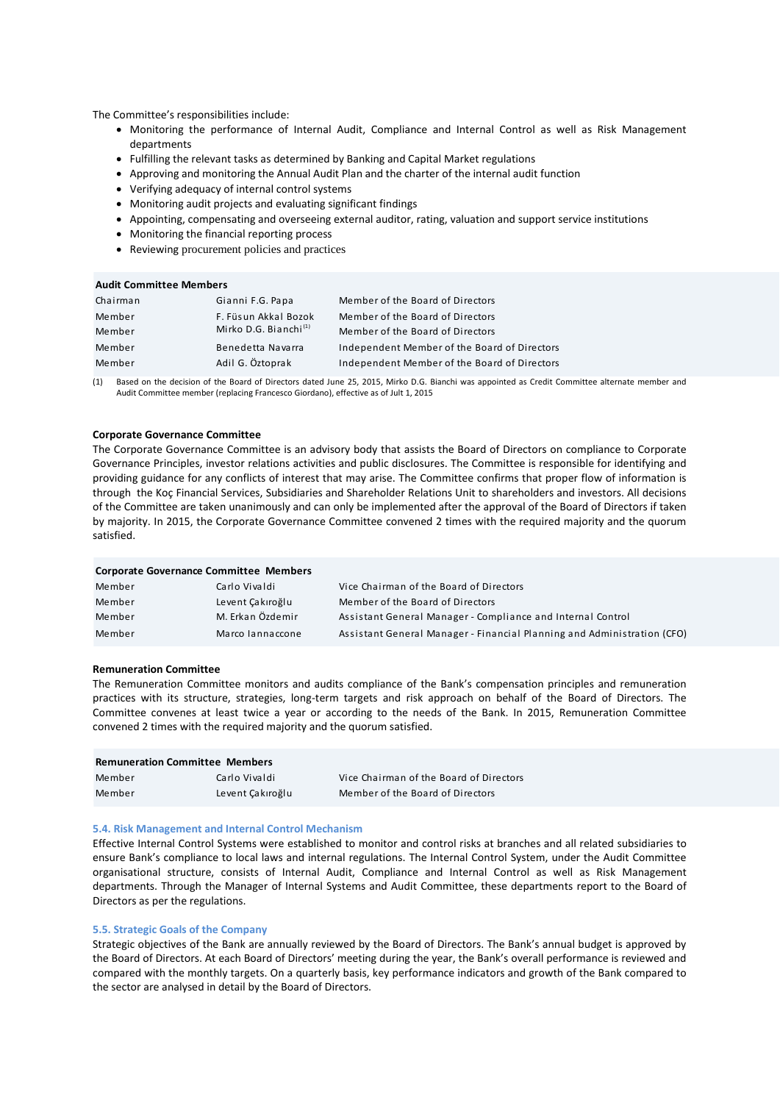The Committee's responsibilities include:

- Monitoring the performance of Internal Audit, Compliance and Internal Control as well as Risk Management departments
- Fulfilling the relevant tasks as determined by Banking and Capital Market regulations
- Approving and monitoring the Annual Audit Plan and the charter of the internal audit function
- Verifying adequacy of internal control systems
- Monitoring audit projects and evaluating significant findings
- Appointing, compensating and overseeing external auditor, rating, valuation and support service institutions
- Monitoring the financial reporting process
- Reviewing procurement policies and practices

#### **Audit Committee Members**

| Chairman | Gianni F.G. Papa                  | Member of the Board of Directors             |
|----------|-----------------------------------|----------------------------------------------|
| Member   | F. Füsun Akkal Bozok              | Member of the Board of Directors             |
| Member   | Mirko D.G. Bianchi <sup>(1)</sup> | Member of the Board of Directors             |
| Member   | Benedetta Navarra                 | Independent Member of the Board of Directors |
| Member   | Adil G. Öztoprak                  | Independent Member of the Board of Directors |

(1) Based on the decision of the Board of Directors dated June 25, 2015, Mirko D.G. Bianchi was appointed as Credit Committee alternate member and Audit Committee member (replacing Francesco Giordano), effective as of Jult 1, 2015

## **Corporate Governance Committee**

The Corporate Governance Committee is an advisory body that assists the Board of Directors on compliance to Corporate Governance Principles, investor relations activities and public disclosures. The Committee is responsible for identifying and providing guidance for any conflicts of interest that may arise. The Committee confirms that proper flow of information is through the Koç Financial Services, Subsidiaries and Shareholder Relations Unit to shareholders and investors. All decisions of the Committee are taken unanimously and can only be implemented after the approval of the Board of Directors if taken by majority. In 2015, the Corporate Governance Committee convened 2 times with the required majority and the quorum satisfied.

| <b>Corporate Governance Committee Members</b> |                  |                                                                         |  |
|-----------------------------------------------|------------------|-------------------------------------------------------------------------|--|
| Member                                        | Carlo Vivaldi    | Vice Chairman of the Board of Directors                                 |  |
| Member                                        | Levent Cakıroğlu | Member of the Board of Directors                                        |  |
| Member                                        | M. Erkan Özdemir | Assistant General Manager - Compliance and Internal Control             |  |
| Member                                        | Marco Jannaccone | Assistant General Manager - Financial Planning and Administration (CFO) |  |

## **Remuneration Committee**

The Remuneration Committee monitors and audits compliance of the Bank's compensation principles and remuneration practices with its structure, strategies, long-term targets and risk approach on behalf of the Board of Directors. The Committee convenes at least twice a year or according to the needs of the Bank. In 2015, Remuneration Committee convened 2 times with the required majority and the quorum satisfied.

#### **Remuneration Committee Members**

| Member | Carlo Vivaldi    | Vice Chairman of the Board of Directors |
|--------|------------------|-----------------------------------------|
| Member | Levent Cakıroğlu | Member of the Board of Directors        |

#### **5.4. Risk Management and Internal Control Mechanism**

Effective Internal Control Systems were established to monitor and control risks at branches and all related subsidiaries to ensure Bank's compliance to local laws and internal regulations. The Internal Control System, under the Audit Committee organisational structure, consists of Internal Audit, Compliance and Internal Control as well as Risk Management departments. Through the Manager of Internal Systems and Audit Committee, these departments report to the Board of Directors as per the regulations.

#### **5.5. Strategic Goals of the Company**

Strategic objectives of the Bank are annually reviewed by the Board of Directors. The Bank's annual budget is approved by the Board of Directors. At each Board of Directors' meeting during the year, the Bank's overall performance is reviewed and compared with the monthly targets. On a quarterly basis, key performance indicators and growth of the Bank compared to the sector are analysed in detail by the Board of Directors.